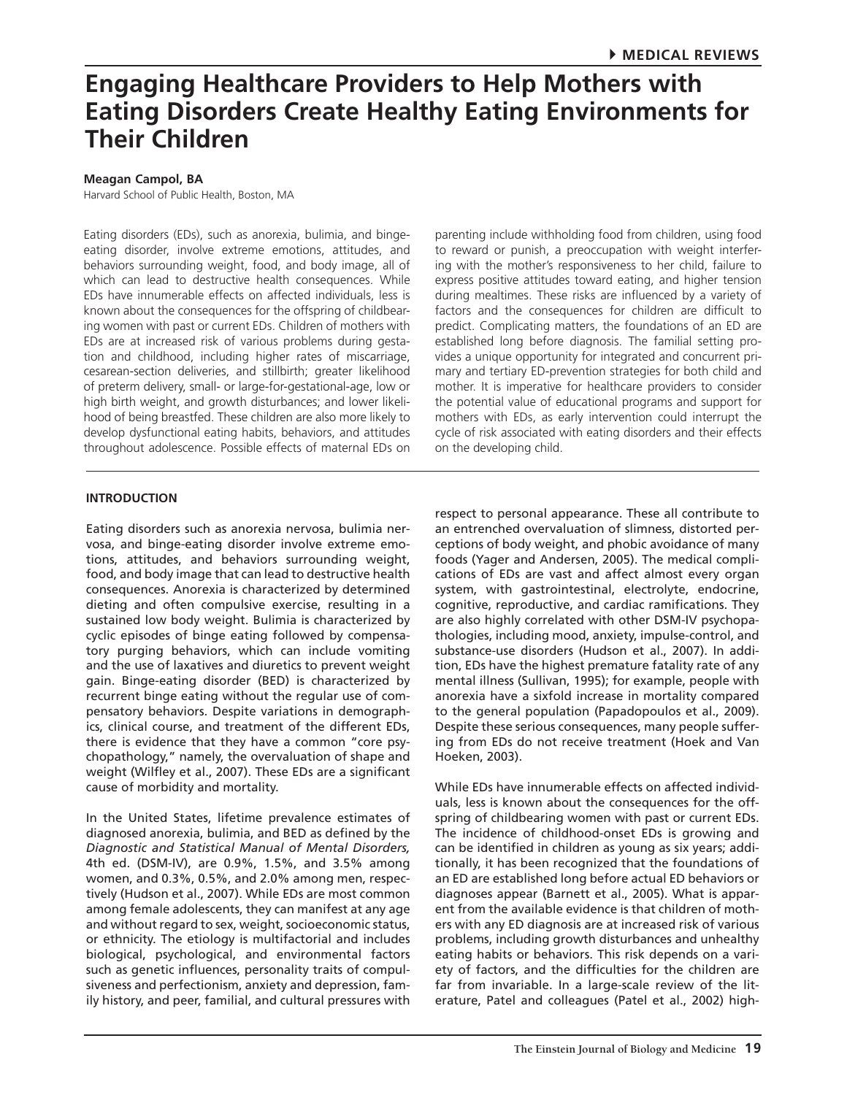# **Meagan Campol, BA**

Harvard School of Public Health, Boston, MA

Eating disorders (EDs), such as anorexia, bulimia, and bingeeating disorder, involve extreme emotions, attitudes, and behaviors surrounding weight, food, and body image, all of which can lead to destructive health consequences. While EDs have innumerable effects on affected individuals, less is known about the consequences for the offspring of childbearing women with past or current EDs. Children of mothers with EDs are at increased risk of various problems during gestation and childhood, including higher rates of miscarriage, cesarean-section deliveries, and stillbirth; greater likelihood of preterm delivery, small- or large-for-gestational-age, low or high birth weight, and growth disturbances; and lower likelihood of being breastfed. These children are also more likely to develop dysfunctional eating habits, behaviors, and attitudes throughout adolescence. Possible effects of maternal EDs on

parenting include withholding food from children, using food to reward or punish, a preoccupation with weight interfering with the mother's responsiveness to her child, failure to express positive attitudes toward eating, and higher tension during mealtimes. These risks are influenced by a variety of factors and the consequences for children are difficult to predict. Complicating matters, the foundations of an ED are established long before diagnosis. The familial setting provides a unique opportunity for integrated and concurrent primary and tertiary ED-prevention strategies for both child and mother. It is imperative for healthcare providers to consider the potential value of educational programs and support for mothers with EDs, as early intervention could interrupt the cycle of risk associated with eating disorders and their effects on the developing child.

# **INTRODUCTION**

Eating disorders such as anorexia nervosa, bulimia nervosa, and binge-eating disorder involve extreme emotions, attitudes, and behaviors surrounding weight, food, and body image that can lead to destructive health consequences. Anorexia is characterized by determined dieting and often compulsive exercise, resulting in a sustained low body weight. Bulimia is characterized by cyclic episodes of binge eating followed by compensatory purging behaviors, which can include vomiting and the use of laxatives and diuretics to prevent weight gain. Binge-eating disorder (BED) is characterized by recurrent binge eating without the regular use of compensatory behaviors. Despite variations in demographics, clinical course, and treatment of the different EDs, there is evidence that they have a common "core psychopathology," namely, the overvaluation of shape and weight (Wilfley et al., 2007). These EDs are a significant cause of morbidity and mortality.

In the United States, lifetime prevalence estimates of diagnosed anorexia, bulimia, and BED as defined by the *Diagnostic and Statistical Manual of Mental Disorders,* 4th ed. (DSM-IV), are 0.9%, 1.5%, and 3.5% among women, and 0.3%, 0.5%, and 2.0% among men, respectively (Hudson et al., 2007). While EDs are most common among female adolescents, they can manifest at any age and without regard to sex, weight, socioeconomic status, or ethnicity. The etiology is multifactorial and includes biological, psychological, and environmental factors such as genetic influences, personality traits of compulsiveness and perfectionism, anxiety and depression, family history, and peer, familial, and cultural pressures with

respect to personal appearance. These all contribute to an entrenched overvaluation of slimness, distorted perceptions of body weight, and phobic avoidance of many foods (Yager and Andersen, 2005). The medical complications of EDs are vast and affect almost every organ system, with gastrointestinal, electrolyte, endocrine, cognitive, reproductive, and cardiac ramifications. They are also highly correlated with other DSM-IV psychopathologies, including mood, anxiety, impulse-control, and substance-use disorders (Hudson et al., 2007). In addition, EDs have the highest premature fatality rate of any mental illness (Sullivan, 1995); for example, people with anorexia have a sixfold increase in mortality compared to the general population (Papadopoulos et al., 2009). Despite these serious consequences, many people suffering from EDs do not receive treatment (Hoek and Van Hoeken, 2003).

While EDs have innumerable effects on affected individuals, less is known about the consequences for the offspring of childbearing women with past or current EDs. The incidence of childhood-onset EDs is growing and can be identified in children as young as six years; additionally, it has been recognized that the foundations of an ED are established long before actual ED behaviors or diagnoses appear (Barnett et al., 2005). What is apparent from the available evidence is that children of mothers with any ED diagnosis are at increased risk of various problems, including growth disturbances and unhealthy eating habits or behaviors. This risk depends on a variety of factors, and the difficulties for the children are far from invariable. In a large-scale review of the literature, Patel and colleagues (Patel et al., 2002) high-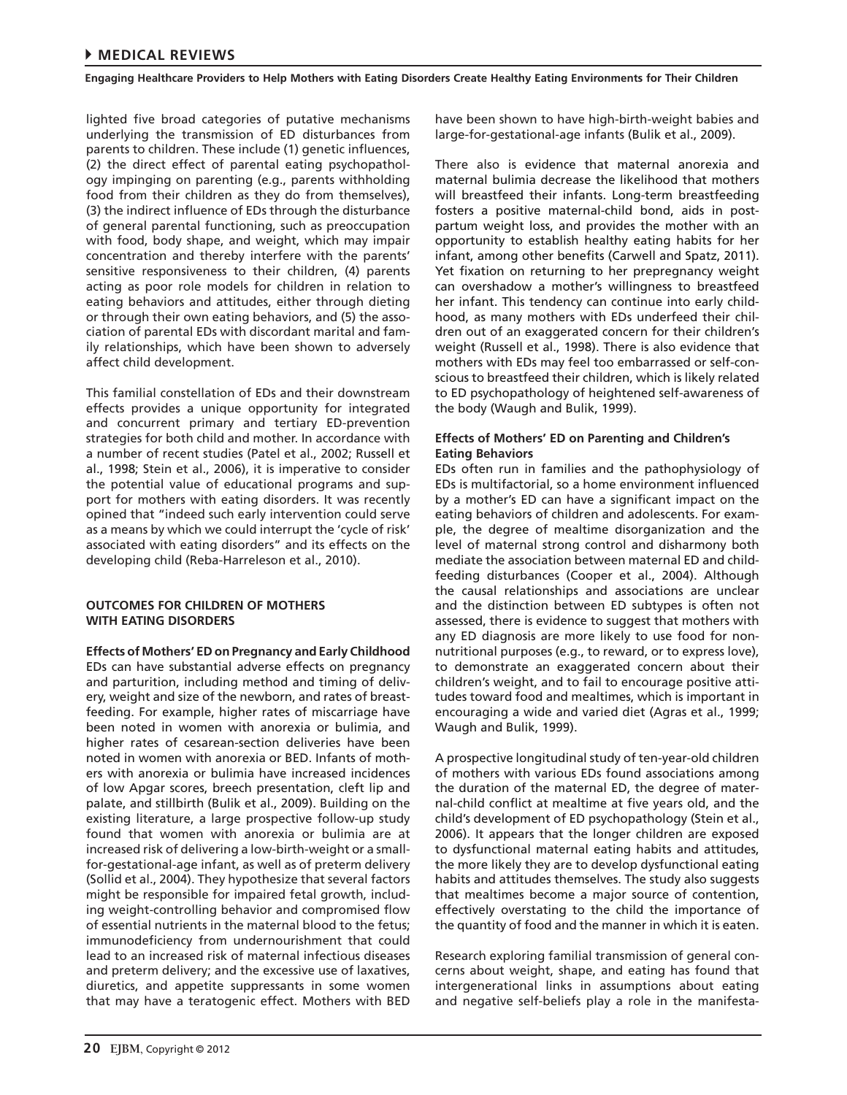lighted five broad categories of putative mechanisms underlying the transmission of ED disturbances from parents to children. These include (1) genetic influences, (2) the direct effect of parental eating psychopathology impinging on parenting (e.g., parents withholding food from their children as they do from themselves), (3) the indirect influence of EDs through the disturbance of general parental functioning, such as preoccupation with food, body shape, and weight, which may impair concentration and thereby interfere with the parents' sensitive responsiveness to their children, (4) parents acting as poor role models for children in relation to eating behaviors and attitudes, either through dieting or through their own eating behaviors, and (5) the association of parental EDs with discordant marital and family relationships, which have been shown to adversely affect child development.

This familial constellation of EDs and their downstream effects provides a unique opportunity for integrated and concurrent primary and tertiary ED-prevention strategies for both child and mother. In accordance with a number of recent studies (Patel et al., 2002; Russell et al., 1998; Stein et al., 2006), it is imperative to consider the potential value of educational programs and support for mothers with eating disorders. It was recently opined that "indeed such early intervention could serve as a means by which we could interrupt the 'cycle of risk' associated with eating disorders" and its effects on the developing child (Reba-Harreleson et al., 2010).

# **OUTCOMES FOR CHILDREN OF MOTHERS WITH EATING DISORDERS**

**Effects of Mothers' ED on Pregnancy and Early Childhood** EDs can have substantial adverse effects on pregnancy and parturition, including method and timing of delivery, weight and size of the newborn, and rates of breastfeeding. For example, higher rates of miscarriage have been noted in women with anorexia or bulimia, and higher rates of cesarean-section deliveries have been noted in women with anorexia or BED. Infants of mothers with anorexia or bulimia have increased incidences of low Apgar scores, breech presentation, cleft lip and palate, and stillbirth (Bulik et al., 2009). Building on the existing literature, a large prospective follow-up study found that women with anorexia or bulimia are at increased risk of delivering a low-birth-weight or a smallfor-gestational-age infant, as well as of preterm delivery (Sollid et al., 2004). They hypothesize that several factors might be responsible for impaired fetal growth, including weight-controlling behavior and compromised flow of essential nutrients in the maternal blood to the fetus; immunodeficiency from undernourishment that could lead to an increased risk of maternal infectious diseases and preterm delivery; and the excessive use of laxatives, diuretics, and appetite suppressants in some women that may have a teratogenic effect. Mothers with BED

have been shown to have high-birth-weight babies and large-for-gestational-age infants (Bulik et al., 2009).

There also is evidence that maternal anorexia and maternal bulimia decrease the likelihood that mothers will breastfeed their infants. Long-term breastfeeding fosters a positive maternal-child bond, aids in postpartum weight loss, and provides the mother with an opportunity to establish healthy eating habits for her infant, among other benefits (Carwell and Spatz, 2011). Yet fixation on returning to her prepregnancy weight can overshadow a mother's willingness to breastfeed her infant. This tendency can continue into early childhood, as many mothers with EDs underfeed their children out of an exaggerated concern for their children's weight (Russell et al., 1998). There is also evidence that mothers with EDs may feel too embarrassed or self-conscious to breastfeed their children, which is likely related to ED psychopathology of heightened self-awareness of the body (Waugh and Bulik, 1999).

# **Effects of Mothers' ED on Parenting and Children's Eating Behaviors**

EDs often run in families and the pathophysiology of EDs is multifactorial, so a home environment influenced by a mother's ED can have a significant impact on the eating behaviors of children and adolescents. For example, the degree of mealtime disorganization and the level of maternal strong control and disharmony both mediate the association between maternal ED and childfeeding disturbances (Cooper et al., 2004). Although the causal relationships and associations are unclear and the distinction between ED subtypes is often not assessed, there is evidence to suggest that mothers with any ED diagnosis are more likely to use food for nonnutritional purposes (e.g., to reward, or to express love), to demonstrate an exaggerated concern about their children's weight, and to fail to encourage positive attitudes toward food and mealtimes, which is important in encouraging a wide and varied diet (Agras et al., 1999; Waugh and Bulik, 1999).

A prospective longitudinal study of ten-year-old children of mothers with various EDs found associations among the duration of the maternal ED, the degree of maternal-child conflict at mealtime at five years old, and the child's development of ED psychopathology (Stein et al., 2006). It appears that the longer children are exposed to dysfunctional maternal eating habits and attitudes, the more likely they are to develop dysfunctional eating habits and attitudes themselves. The study also suggests that mealtimes become a major source of contention, effectively overstating to the child the importance of the quantity of food and the manner in which it is eaten.

Research exploring familial transmission of general concerns about weight, shape, and eating has found that intergenerational links in assumptions about eating and negative self-beliefs play a role in the manifesta-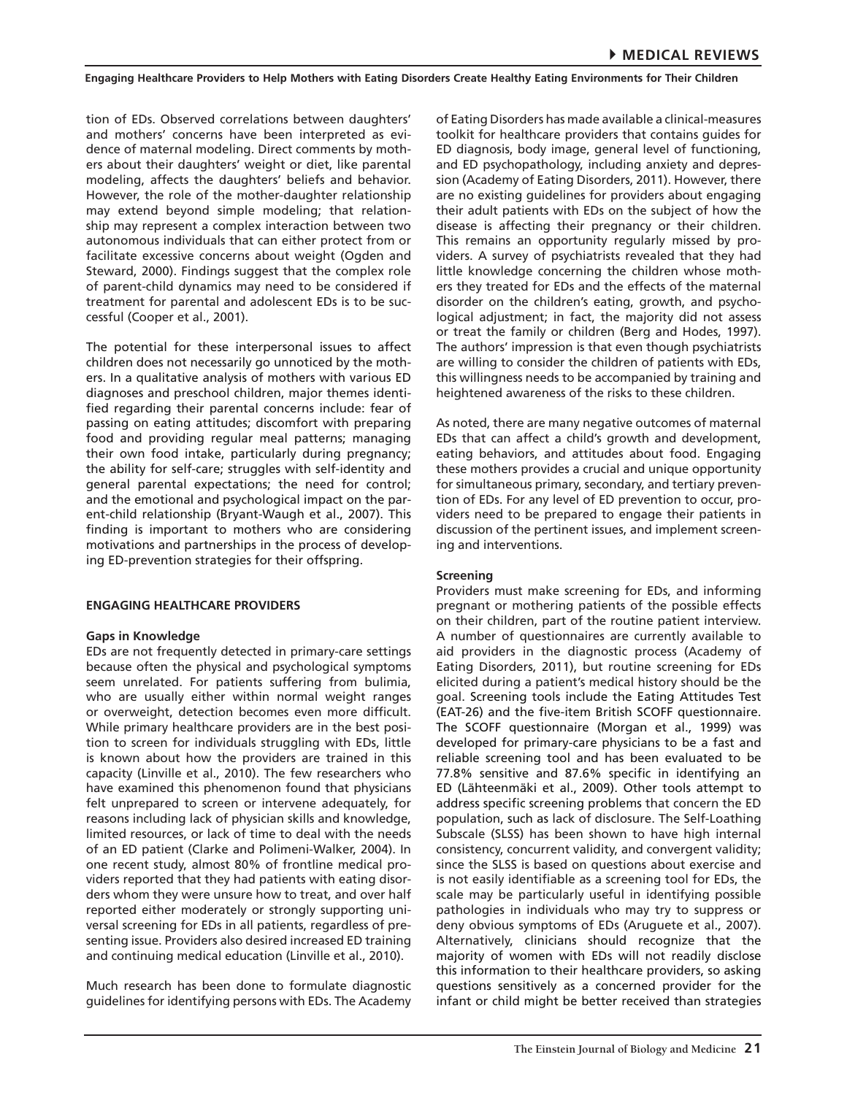tion of EDs. Observed correlations between daughters' and mothers' concerns have been interpreted as evidence of maternal modeling. Direct comments by mothers about their daughters' weight or diet, like parental modeling, affects the daughters' beliefs and behavior. However, the role of the mother-daughter relationship may extend beyond simple modeling; that relationship may represent a complex interaction between two autonomous individuals that can either protect from or facilitate excessive concerns about weight (Ogden and Steward, 2000). Findings suggest that the complex role of parent-child dynamics may need to be considered if treatment for parental and adolescent EDs is to be successful (Cooper et al., 2001).

The potential for these interpersonal issues to affect children does not necessarily go unnoticed by the mothers. In a qualitative analysis of mothers with various ED diagnoses and preschool children, major themes identified regarding their parental concerns include: fear of passing on eating attitudes; discomfort with preparing food and providing regular meal patterns; managing their own food intake, particularly during pregnancy; the ability for self-care; struggles with self-identity and general parental expectations; the need for control; and the emotional and psychological impact on the parent-child relationship (Bryant-Waugh et al., 2007). This finding is important to mothers who are considering motivations and partnerships in the process of developing ED-prevention strategies for their offspring.

# **ENGAGING HEALTHCARE PROVIDERS**

#### **Gaps in Knowledge**

EDs are not frequently detected in primary-care settings because often the physical and psychological symptoms seem unrelated. For patients suffering from bulimia, who are usually either within normal weight ranges or overweight, detection becomes even more difficult. While primary healthcare providers are in the best position to screen for individuals struggling with EDs, little is known about how the providers are trained in this capacity (Linville et al., 2010). The few researchers who have examined this phenomenon found that physicians felt unprepared to screen or intervene adequately, for reasons including lack of physician skills and knowledge, limited resources, or lack of time to deal with the needs of an ED patient (Clarke and Polimeni-Walker, 2004). In one recent study, almost 80% of frontline medical providers reported that they had patients with eating disorders whom they were unsure how to treat, and over half reported either moderately or strongly supporting universal screening for EDs in all patients, regardless of presenting issue. Providers also desired increased ED training and continuing medical education (Linville et al., 2010).

Much research has been done to formulate diagnostic guidelines for identifying persons with EDs. The Academy of Eating Disorders has made available a clinical-measures toolkit for healthcare providers that contains guides for ED diagnosis, body image, general level of functioning, and ED psychopathology, including anxiety and depression (Academy of Eating Disorders, 2011). However, there are no existing guidelines for providers about engaging their adult patients with EDs on the subject of how the disease is affecting their pregnancy or their children. This remains an opportunity regularly missed by providers. A survey of psychiatrists revealed that they had little knowledge concerning the children whose mothers they treated for EDs and the effects of the maternal disorder on the children's eating, growth, and psychological adjustment; in fact, the majority did not assess or treat the family or children (Berg and Hodes, 1997). The authors' impression is that even though psychiatrists are willing to consider the children of patients with EDs, this willingness needs to be accompanied by training and heightened awareness of the risks to these children.

As noted, there are many negative outcomes of maternal EDs that can affect a child's growth and development, eating behaviors, and attitudes about food. Engaging these mothers provides a crucial and unique opportunity for simultaneous primary, secondary, and tertiary prevention of EDs. For any level of ED prevention to occur, providers need to be prepared to engage their patients in discussion of the pertinent issues, and implement screening and interventions.

#### **Screening**

Providers must make screening for EDs, and informing pregnant or mothering patients of the possible effects on their children, part of the routine patient interview. A number of questionnaires are currently available to aid providers in the diagnostic process (Academy of Eating Disorders, 2011), but routine screening for EDs elicited during a patient's medical history should be the goal. Screening tools include the Eating Attitudes Test (EAT-26) and the five-item British SCOFF questionnaire. The SCOFF questionnaire (Morgan et al., 1999) was developed for primary-care physicians to be a fast and reliable screening tool and has been evaluated to be 77.8% sensitive and 87.6% specific in identifying an ED (Lähteenmäki et al., 2009). Other tools attempt to address specific screening problems that concern the ED population, such as lack of disclosure. The Self-Loathing Subscale (SLSS) has been shown to have high internal consistency, concurrent validity, and convergent validity; since the SLSS is based on questions about exercise and is not easily identifiable as a screening tool for EDs, the scale may be particularly useful in identifying possible pathologies in individuals who may try to suppress or deny obvious symptoms of EDs (Aruguete et al., 2007). Alternatively, clinicians should recognize that the majority of women with EDs will not readily disclose this information to their healthcare providers, so asking questions sensitively as a concerned provider for the infant or child might be better received than strategies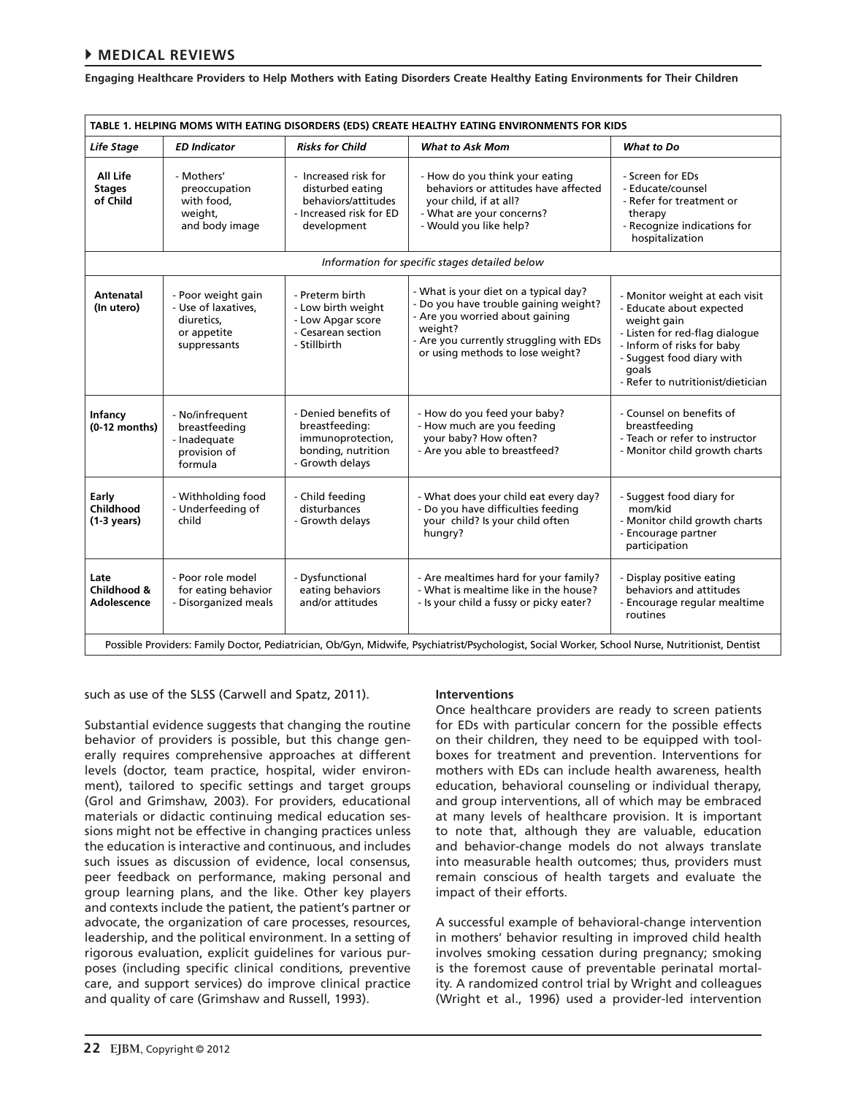# 4**MEDICAL REVIEWS**

**Engaging Healthcare Providers to Help Mothers with Eating Disorders Create Healthy Eating Environments for Their Children**

| TABLE 1. HELPING MOMS WITH EATING DISORDERS (EDS) CREATE HEALTHY EATING ENVIRONMENTS FOR KIDS                                                   |                                                                                        |                                                                                                           |                                                                                                                                                                                                             |                                                                                                                                                                                                                      |
|-------------------------------------------------------------------------------------------------------------------------------------------------|----------------------------------------------------------------------------------------|-----------------------------------------------------------------------------------------------------------|-------------------------------------------------------------------------------------------------------------------------------------------------------------------------------------------------------------|----------------------------------------------------------------------------------------------------------------------------------------------------------------------------------------------------------------------|
| Life Stage                                                                                                                                      | <b>ED Indicator</b>                                                                    | <b>Risks for Child</b>                                                                                    | <b>What to Ask Mom</b>                                                                                                                                                                                      | What to Do                                                                                                                                                                                                           |
| All Life<br><b>Stages</b><br>of Child                                                                                                           | - Mothers'<br>preoccupation<br>with food,<br>weight,<br>and body image                 | - Increased risk for<br>disturbed eating<br>behaviors/attitudes<br>- Increased risk for ED<br>development | - How do you think your eating<br>behaviors or attitudes have affected<br>your child, if at all?<br>- What are your concerns?<br>- Would you like help?                                                     | - Screen for EDs<br>- Educate/counsel<br>- Refer for treatment or<br>therapy<br>- Recognize indications for<br>hospitalization                                                                                       |
| Information for specific stages detailed below                                                                                                  |                                                                                        |                                                                                                           |                                                                                                                                                                                                             |                                                                                                                                                                                                                      |
| Antenatal<br>(In utero)                                                                                                                         | - Poor weight gain<br>- Use of laxatives,<br>diuretics,<br>or appetite<br>suppressants | - Preterm birth<br>- Low birth weight<br>- Low Apgar score<br>- Cesarean section<br>- Stillbirth          | - What is your diet on a typical day?<br>- Do you have trouble gaining weight?<br>- Are you worried about gaining<br>weight?<br>- Are you currently struggling with EDs<br>or using methods to lose weight? | - Monitor weight at each visit<br>- Educate about expected<br>weight gain<br>- Listen for red-flag dialogue<br>- Inform of risks for baby<br>- Suggest food diary with<br>qoals<br>- Refer to nutritionist/dietician |
| Infancy<br>$(0-12$ months)                                                                                                                      | - No/infrequent<br>breastfeeding<br>- Inadequate<br>provision of<br>formula            | - Denied benefits of<br>breastfeeding:<br>immunoprotection,<br>bonding, nutrition<br>- Growth delays      | - How do you feed your baby?<br>- How much are you feeding<br>your baby? How often?<br>- Are you able to breastfeed?                                                                                        | - Counsel on benefits of<br>breastfeeding<br>- Teach or refer to instructor<br>- Monitor child growth charts                                                                                                         |
| Early<br>Childhood<br>$(1-3 \text{ years})$                                                                                                     | - Withholding food<br>- Underfeeding of<br>child                                       | - Child feeding<br>disturbances<br>- Growth delays                                                        | - What does your child eat every day?<br>- Do you have difficulties feeding<br>your child? Is your child often<br>hungry?                                                                                   | - Suggest food diary for<br>mom/kid<br>- Monitor child growth charts<br>- Encourage partner<br>participation                                                                                                         |
| Late<br>Childhood &<br>Adolescence                                                                                                              | - Poor role model<br>for eating behavior<br>- Disorganized meals                       | - Dysfunctional<br>eating behaviors<br>and/or attitudes                                                   | - Are mealtimes hard for your family?<br>- What is mealtime like in the house?<br>- Is your child a fussy or picky eater?                                                                                   | - Display positive eating<br>behaviors and attitudes<br>- Encourage regular mealtime<br>routines                                                                                                                     |
| Possible Providers: Family Doctor, Pediatrician, Ob/Gyn, Midwife, Psychiatrist/Psychologist, Social Worker, School Nurse, Nutritionist, Dentist |                                                                                        |                                                                                                           |                                                                                                                                                                                                             |                                                                                                                                                                                                                      |

such as use of the SLSS (Carwell and Spatz, 2011).

Substantial evidence suggests that changing the routine behavior of providers is possible, but this change generally requires comprehensive approaches at different levels (doctor, team practice, hospital, wider environment), tailored to specific settings and target groups (Grol and Grimshaw, 2003). For providers, educational materials or didactic continuing medical education sessions might not be effective in changing practices unless the education is interactive and continuous, and includes such issues as discussion of evidence, local consensus, peer feedback on performance, making personal and group learning plans, and the like. Other key players and contexts include the patient, the patient's partner or advocate, the organization of care processes, resources, leadership, and the political environment. In a setting of rigorous evaluation, explicit guidelines for various purposes (including specific clinical conditions, preventive care, and support services) do improve clinical practice and quality of care (Grimshaw and Russell, 1993).

# **Interventions**

Once healthcare providers are ready to screen patients for EDs with particular concern for the possible effects on their children, they need to be equipped with toolboxes for treatment and prevention. Interventions for mothers with EDs can include health awareness, health education, behavioral counseling or individual therapy, and group interventions, all of which may be embraced at many levels of healthcare provision. It is important to note that, although they are valuable, education and behavior-change models do not always translate into measurable health outcomes; thus, providers must remain conscious of health targets and evaluate the impact of their efforts.

A successful example of behavioral-change intervention in mothers' behavior resulting in improved child health involves smoking cessation during pregnancy; smoking is the foremost cause of preventable perinatal mortality. A randomized control trial by Wright and colleagues (Wright et al., 1996) used a provider-led intervention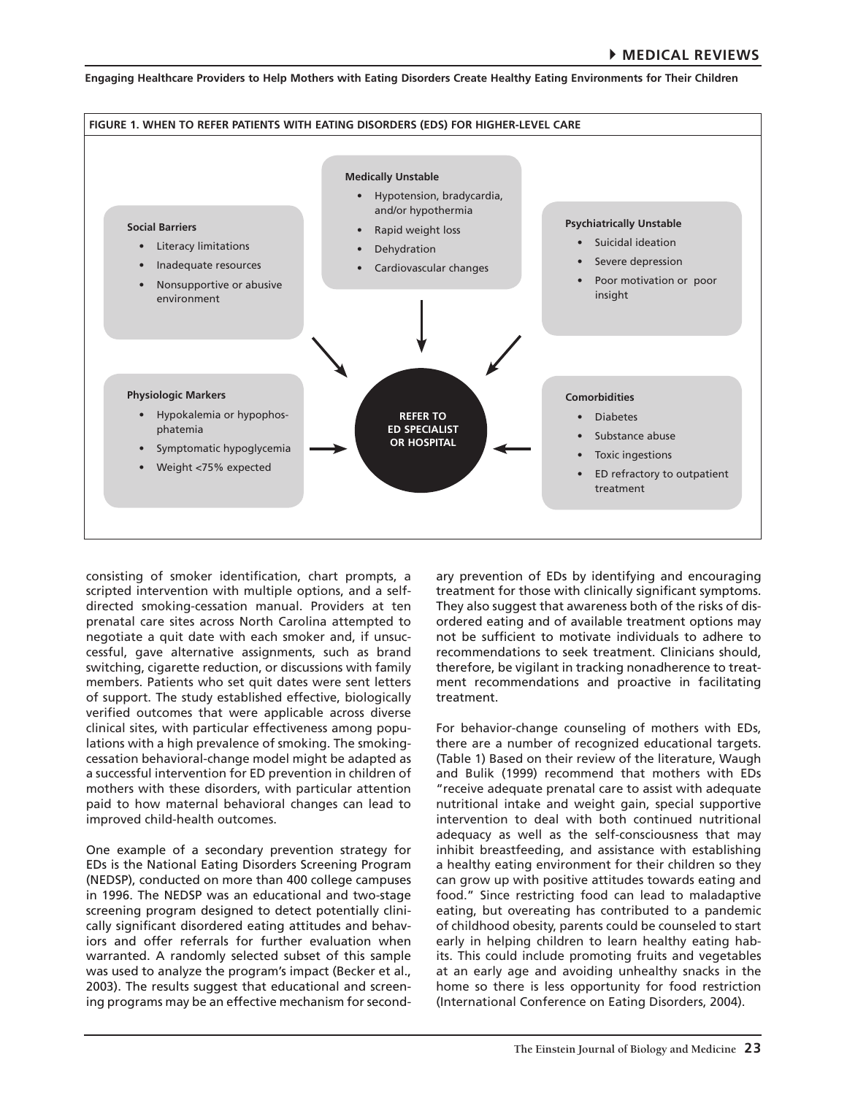

consisting of smoker identification, chart prompts, a scripted intervention with multiple options, and a selfdirected smoking-cessation manual. Providers at ten prenatal care sites across North Carolina attempted to negotiate a quit date with each smoker and, if unsuccessful, gave alternative assignments, such as brand switching, cigarette reduction, or discussions with family members. Patients who set quit dates were sent letters of support. The study established effective, biologically verified outcomes that were applicable across diverse clinical sites, with particular effectiveness among populations with a high prevalence of smoking. The smokingcessation behavioral-change model might be adapted as a successful intervention for ED prevention in children of mothers with these disorders, with particular attention paid to how maternal behavioral changes can lead to improved child-health outcomes.

One example of a secondary prevention strategy for EDs is the National Eating Disorders Screening Program (NEDSP), conducted on more than 400 college campuses in 1996. The NEDSP was an educational and two-stage screening program designed to detect potentially clinically significant disordered eating attitudes and behaviors and offer referrals for further evaluation when warranted. A randomly selected subset of this sample was used to analyze the program's impact (Becker et al., 2003). The results suggest that educational and screening programs may be an effective mechanism for second-

ary prevention of EDs by identifying and encouraging treatment for those with clinically significant symptoms. They also suggest that awareness both of the risks of disordered eating and of available treatment options may not be sufficient to motivate individuals to adhere to recommendations to seek treatment. Clinicians should, therefore, be vigilant in tracking nonadherence to treatment recommendations and proactive in facilitating treatment.

For behavior-change counseling of mothers with EDs, there are a number of recognized educational targets. (Table 1) Based on their review of the literature, Waugh and Bulik (1999) recommend that mothers with EDs "receive adequate prenatal care to assist with adequate nutritional intake and weight gain, special supportive intervention to deal with both continued nutritional adequacy as well as the self-consciousness that may inhibit breastfeeding, and assistance with establishing a healthy eating environment for their children so they can grow up with positive attitudes towards eating and food." Since restricting food can lead to maladaptive eating, but overeating has contributed to a pandemic of childhood obesity, parents could be counseled to start early in helping children to learn healthy eating habits. This could include promoting fruits and vegetables at an early age and avoiding unhealthy snacks in the home so there is less opportunity for food restriction (International Conference on Eating Disorders, 2004).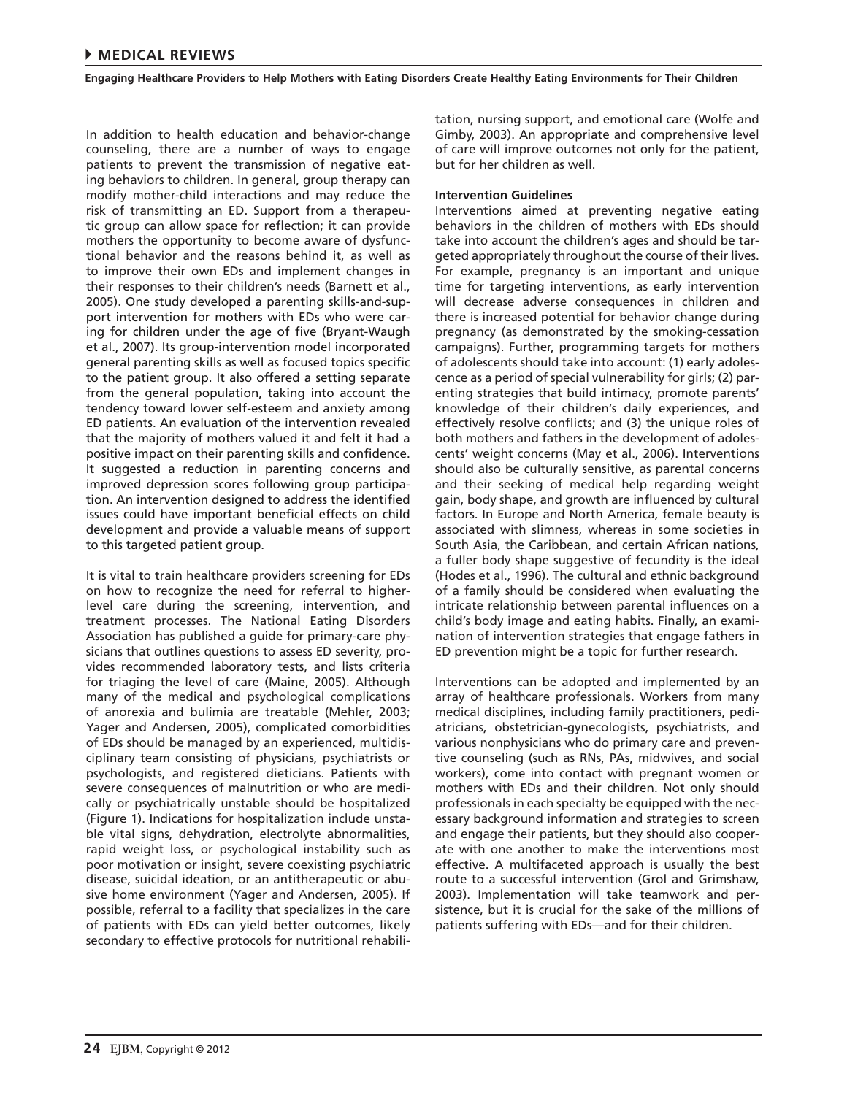In addition to health education and behavior-change counseling, there are a number of ways to engage patients to prevent the transmission of negative eating behaviors to children. In general, group therapy can modify mother-child interactions and may reduce the risk of transmitting an ED. Support from a therapeutic group can allow space for reflection; it can provide mothers the opportunity to become aware of dysfunctional behavior and the reasons behind it, as well as to improve their own EDs and implement changes in their responses to their children's needs (Barnett et al., 2005). One study developed a parenting skills-and-support intervention for mothers with EDs who were caring for children under the age of five (Bryant-Waugh et al., 2007). Its group-intervention model incorporated general parenting skills as well as focused topics specific to the patient group. It also offered a setting separate from the general population, taking into account the tendency toward lower self-esteem and anxiety among ED patients. An evaluation of the intervention revealed that the majority of mothers valued it and felt it had a positive impact on their parenting skills and confidence. It suggested a reduction in parenting concerns and improved depression scores following group participation. An intervention designed to address the identified issues could have important beneficial effects on child development and provide a valuable means of support to this targeted patient group.

It is vital to train healthcare providers screening for EDs on how to recognize the need for referral to higherlevel care during the screening, intervention, and treatment processes. The National Eating Disorders Association has published a guide for primary-care physicians that outlines questions to assess ED severity, provides recommended laboratory tests, and lists criteria for triaging the level of care (Maine, 2005). Although many of the medical and psychological complications of anorexia and bulimia are treatable (Mehler, 2003; Yager and Andersen, 2005), complicated comorbidities of EDs should be managed by an experienced, multidisciplinary team consisting of physicians, psychiatrists or psychologists, and registered dieticians. Patients with severe consequences of malnutrition or who are medically or psychiatrically unstable should be hospitalized (Figure 1). Indications for hospitalization include unstable vital signs, dehydration, electrolyte abnormalities, rapid weight loss, or psychological instability such as poor motivation or insight, severe coexisting psychiatric disease, suicidal ideation, or an antitherapeutic or abusive home environment (Yager and Andersen, 2005). If possible, referral to a facility that specializes in the care of patients with EDs can yield better outcomes, likely secondary to effective protocols for nutritional rehabilitation, nursing support, and emotional care (Wolfe and Gimby, 2003). An appropriate and comprehensive level of care will improve outcomes not only for the patient, but for her children as well.

# **Intervention Guidelines**

Interventions aimed at preventing negative eating behaviors in the children of mothers with EDs should take into account the children's ages and should be targeted appropriately throughout the course of their lives. For example, pregnancy is an important and unique time for targeting interventions, as early intervention will decrease adverse consequences in children and there is increased potential for behavior change during pregnancy (as demonstrated by the smoking-cessation campaigns). Further, programming targets for mothers of adolescents should take into account: (1) early adolescence as a period of special vulnerability for girls; (2) parenting strategies that build intimacy, promote parents' knowledge of their children's daily experiences, and effectively resolve conflicts; and (3) the unique roles of both mothers and fathers in the development of adolescents' weight concerns (May et al., 2006). Interventions should also be culturally sensitive, as parental concerns and their seeking of medical help regarding weight gain, body shape, and growth are influenced by cultural factors. In Europe and North America, female beauty is associated with slimness, whereas in some societies in South Asia, the Caribbean, and certain African nations, a fuller body shape suggestive of fecundity is the ideal (Hodes et al., 1996). The cultural and ethnic background of a family should be considered when evaluating the intricate relationship between parental influences on a child's body image and eating habits. Finally, an examination of intervention strategies that engage fathers in ED prevention might be a topic for further research.

Interventions can be adopted and implemented by an array of healthcare professionals. Workers from many medical disciplines, including family practitioners, pediatricians, obstetrician-gynecologists, psychiatrists, and various nonphysicians who do primary care and preventive counseling (such as RNs, PAs, midwives, and social workers), come into contact with pregnant women or mothers with EDs and their children. Not only should professionals in each specialty be equipped with the necessary background information and strategies to screen and engage their patients, but they should also cooperate with one another to make the interventions most effective. A multifaceted approach is usually the best route to a successful intervention (Grol and Grimshaw, 2003). Implementation will take teamwork and persistence, but it is crucial for the sake of the millions of patients suffering with EDs—and for their children.